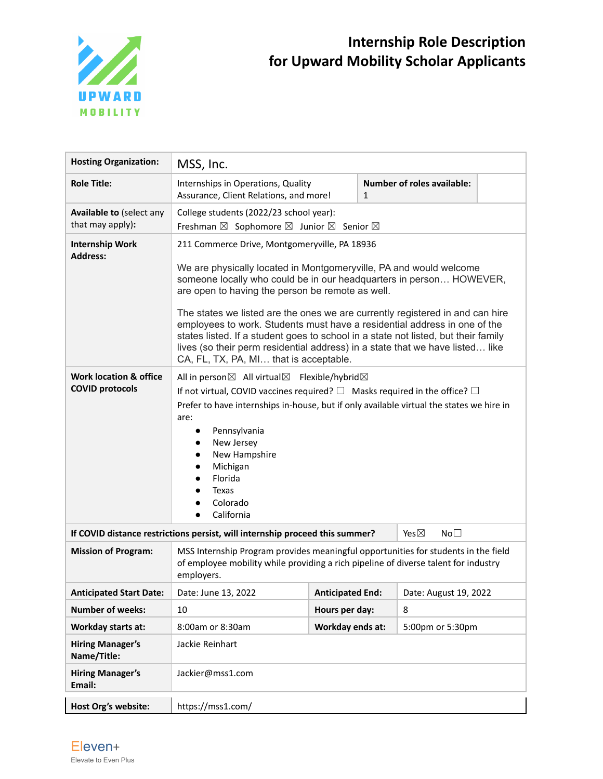

| <b>Hosting Organization:</b>                                | MSS, Inc.                                                                                                                                                                                                                                                                                                                                                                                                                                                                                                                                                                           |                         |  |                            |  |
|-------------------------------------------------------------|-------------------------------------------------------------------------------------------------------------------------------------------------------------------------------------------------------------------------------------------------------------------------------------------------------------------------------------------------------------------------------------------------------------------------------------------------------------------------------------------------------------------------------------------------------------------------------------|-------------------------|--|----------------------------|--|
| <b>Role Title:</b>                                          | Internships in Operations, Quality<br>Assurance, Client Relations, and more!                                                                                                                                                                                                                                                                                                                                                                                                                                                                                                        | $\mathbf{1}$            |  | Number of roles available: |  |
| Available to (select any<br>that may apply):                | College students (2022/23 school year):<br>Freshman ⊠ Sophomore ⊠ Junior ⊠ Senior ⊠                                                                                                                                                                                                                                                                                                                                                                                                                                                                                                 |                         |  |                            |  |
| <b>Internship Work</b><br><b>Address:</b>                   | 211 Commerce Drive, Montgomeryville, PA 18936<br>We are physically located in Montgomeryville, PA and would welcome<br>someone locally who could be in our headquarters in person HOWEVER,<br>are open to having the person be remote as well.<br>The states we listed are the ones we are currently registered in and can hire<br>employees to work. Students must have a residential address in one of the<br>states listed. If a student goes to school in a state not listed, but their family<br>lives (so their perm residential address) in a state that we have listed like |                         |  |                            |  |
| <b>Work location &amp; office</b><br><b>COVID protocols</b> | CA, FL, TX, PA, MI that is acceptable.<br>All in person⊠ All virtual⊠ Flexible/hybrid⊠<br>If not virtual, COVID vaccines required? $\square$ Masks required in the office? $\square$<br>Prefer to have internships in-house, but if only available virtual the states we hire in<br>are:<br>Pennsylvania<br>$\bullet$<br>New Jersey<br>$\bullet$<br>New Hampshire<br>$\bullet$<br>Michigan<br>$\bullet$<br>Florida<br>Texas<br>Colorado<br>California                                                                                                                               |                         |  |                            |  |
|                                                             | If COVID distance restrictions persist, will internship proceed this summer?<br>Yes $\boxtimes$<br>No <sub>1</sub>                                                                                                                                                                                                                                                                                                                                                                                                                                                                  |                         |  |                            |  |
| <b>Mission of Program:</b>                                  | MSS Internship Program provides meaningful opportunities for students in the field<br>of employee mobility while providing a rich pipeline of diverse talent for industry<br>employers.                                                                                                                                                                                                                                                                                                                                                                                             |                         |  |                            |  |
| <b>Anticipated Start Date:</b>                              | Date: June 13, 2022                                                                                                                                                                                                                                                                                                                                                                                                                                                                                                                                                                 | <b>Anticipated End:</b> |  | Date: August 19, 2022      |  |
| <b>Number of weeks:</b>                                     | 10                                                                                                                                                                                                                                                                                                                                                                                                                                                                                                                                                                                  | Hours per day:          |  | 8                          |  |
| Workday starts at:                                          | 8:00am or 8:30am                                                                                                                                                                                                                                                                                                                                                                                                                                                                                                                                                                    | Workday ends at:        |  | 5:00pm or 5:30pm           |  |
| <b>Hiring Manager's</b><br>Name/Title:                      | Jackie Reinhart                                                                                                                                                                                                                                                                                                                                                                                                                                                                                                                                                                     |                         |  |                            |  |
| <b>Hiring Manager's</b><br>Email:                           | Jackier@mss1.com                                                                                                                                                                                                                                                                                                                                                                                                                                                                                                                                                                    |                         |  |                            |  |
| Host Org's website:                                         | https://mss1.com/                                                                                                                                                                                                                                                                                                                                                                                                                                                                                                                                                                   |                         |  |                            |  |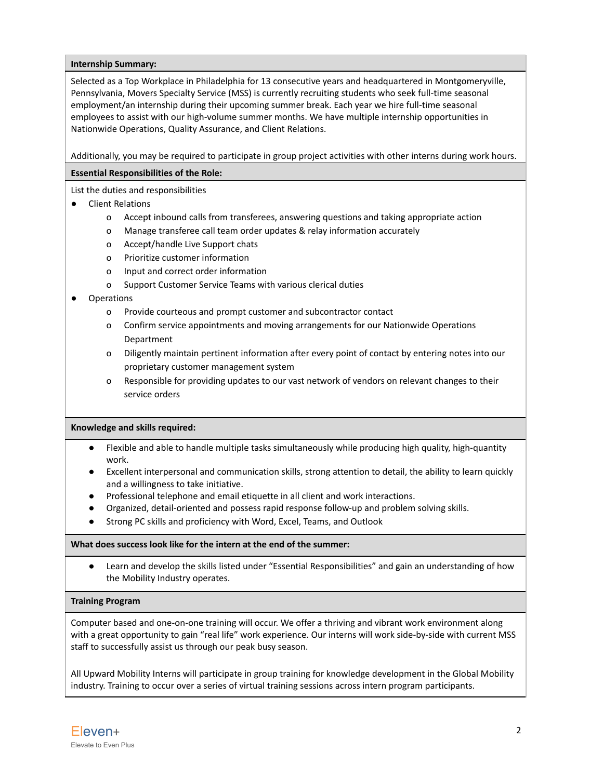### **Internship Summary:**

Selected as a Top Workplace in Philadelphia for 13 consecutive years and headquartered in Montgomeryville, Pennsylvania, Movers Specialty Service (MSS) is currently recruiting students who seek full-time seasonal employment/an internship during their upcoming summer break. Each year we hire full-time seasonal employees to assist with our high-volume summer months. We have multiple internship opportunities in Nationwide Operations, Quality Assurance, and Client Relations.

Additionally, you may be required to participate in group project activities with other interns during work hours.

# **Essential Responsibilities of the Role:**

List the duties and responsibilities

- Client Relations
	- o Accept inbound calls from transferees, answering questions and taking appropriate action
	- o Manage transferee call team order updates & relay information accurately
	- o Accept/handle Live Support chats
	- o Prioritize customer information
	- o Input and correct order information
	- o Support Customer Service Teams with various clerical duties

# **Operations**

- o Provide courteous and prompt customer and subcontractor contact
- o Confirm service appointments and moving arrangements for our Nationwide Operations Department
- o Diligently maintain pertinent information after every point of contact by entering notes into our proprietary customer management system
- o Responsible for providing updates to our vast network of vendors on relevant changes to their service orders

### **Knowledge and skills required:**

- Flexible and able to handle multiple tasks simultaneously while producing high quality, high-quantity work.
- Excellent interpersonal and communication skills, strong attention to detail, the ability to learn quickly and a willingness to take initiative.
- Professional telephone and email etiquette in all client and work interactions.
- Organized, detail-oriented and possess rapid response follow-up and problem solving skills.
- Strong PC skills and proficiency with Word, Excel, Teams, and Outlook

### **What does success look like for the intern at the end of the summer:**

● Learn and develop the skills listed under "Essential Responsibilities" and gain an understanding of how the Mobility Industry operates.

### **Training Program**

Computer based and one-on-one training will occur. We offer a thriving and vibrant work environment along with a great opportunity to gain "real life" work experience. Our interns will work side-by-side with current MSS staff to successfully assist us through our peak busy season.

All Upward Mobility Interns will participate in group training for knowledge development in the Global Mobility industry. Training to occur over a series of virtual training sessions across intern program participants.